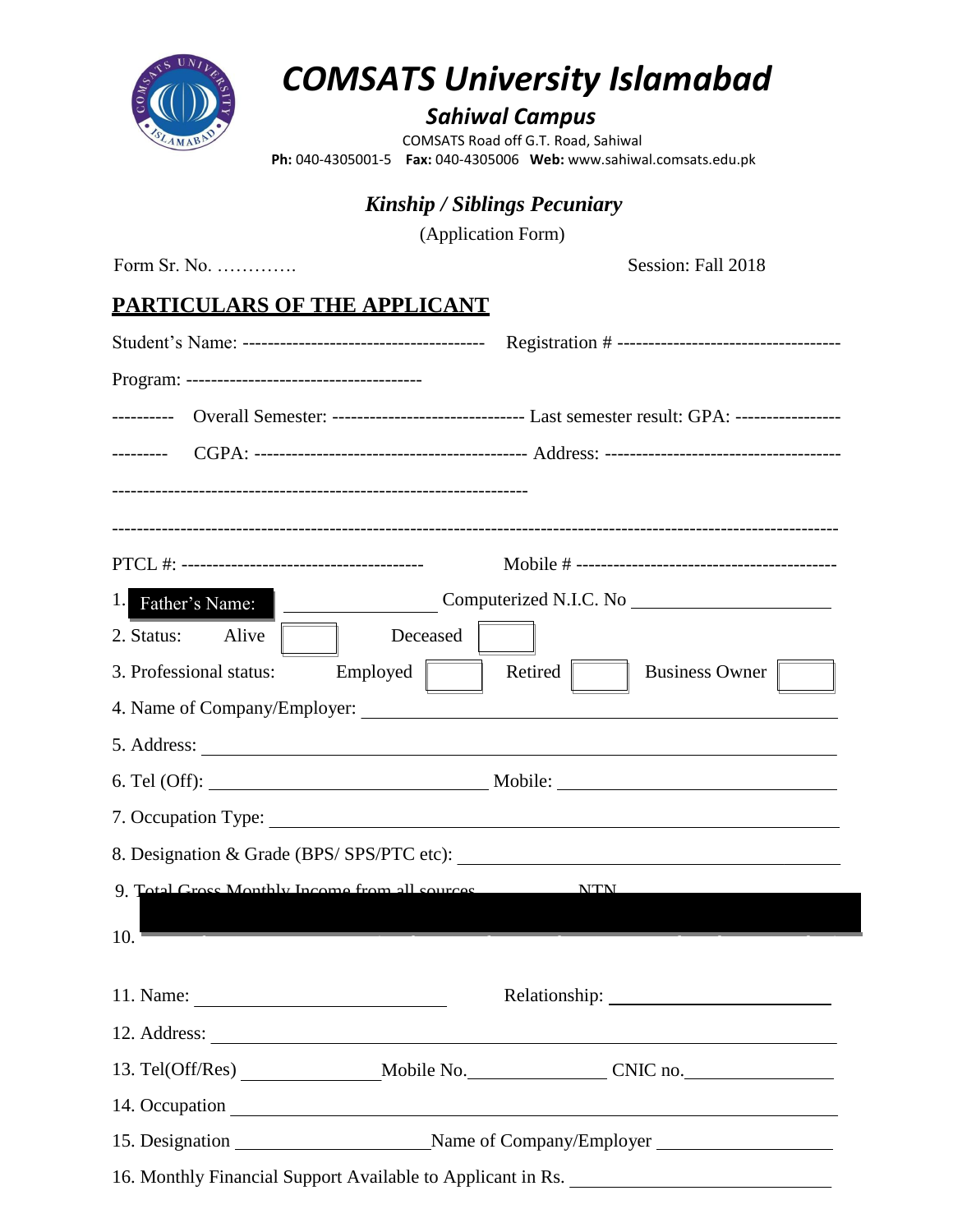

# *COMSATS University Islamabad*

# *Sahiwal Campus*

 COMSATS Road off G.T. Road, Sahiwal  **Ph:** 040-4305001-5 **Fax:** 040-4305006 **Web:** www.sahiwal.comsats.edu.pk

# *Kinship / Siblings Pecuniary*

(Application Form)

Form Sr. No. …………. Session: Fall 2018

## **PARTICULARS OF THE APPLICANT**

|                         | ---------- Overall Semester: --------------------------------- Last semester result: GPA: ----------------- |  |
|-------------------------|-------------------------------------------------------------------------------------------------------------|--|
|                         |                                                                                                             |  |
|                         |                                                                                                             |  |
|                         |                                                                                                             |  |
|                         |                                                                                                             |  |
| 1.<br>Father's Name:    | Computerized N.I.C. No                                                                                      |  |
| 2. Status:<br>Alive     | Deceased                                                                                                    |  |
| 3. Professional status: | Retired<br>$Employd$  <br><b>Business Owner</b>                                                             |  |
|                         |                                                                                                             |  |
|                         |                                                                                                             |  |
|                         |                                                                                                             |  |
|                         |                                                                                                             |  |
|                         | 8. Designation & Grade (BPS/SPS/PTC etc):                                                                   |  |
|                         | 9. Total Groce Monthly Income from all cources _________________________________                            |  |
|                         |                                                                                                             |  |
| 10.                     |                                                                                                             |  |
|                         |                                                                                                             |  |
|                         |                                                                                                             |  |
|                         |                                                                                                             |  |
|                         |                                                                                                             |  |
|                         |                                                                                                             |  |
|                         | 16. Monthly Financial Support Available to Applicant in Rs.                                                 |  |